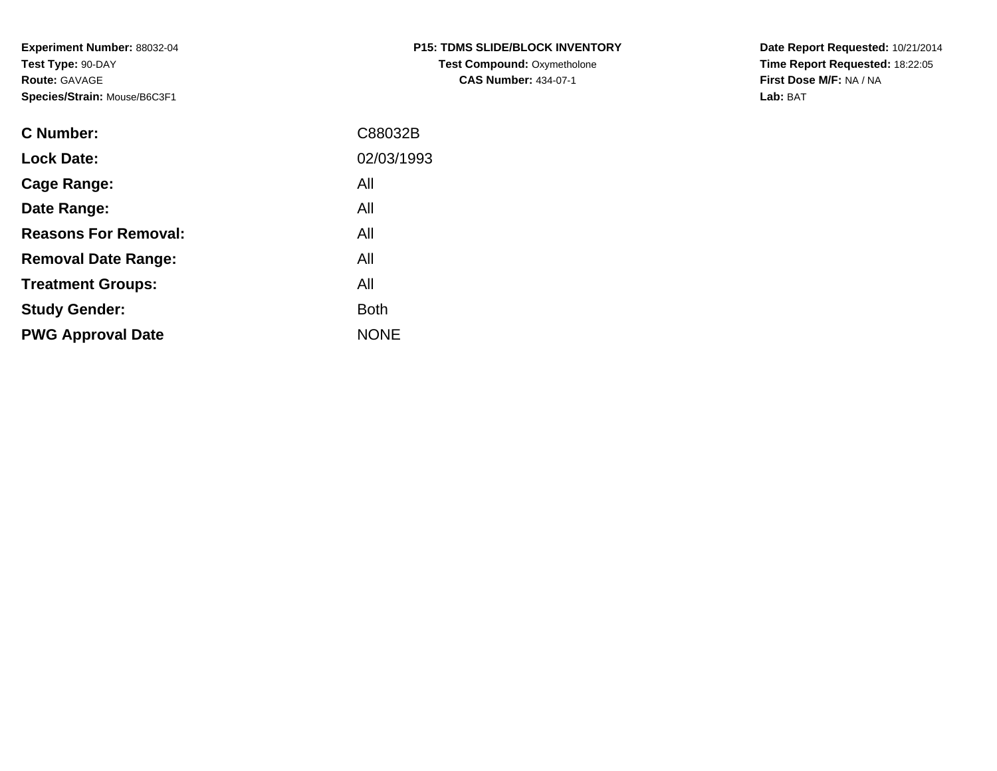**Experiment Number:** 88032-04**Test Type:** 90-DAY**Route:** GAVAGE**Species/Strain:** Mouse/B6C3F1

| <b>P15: TDMS SLIDE/BLOCK INVENTORY</b> |
|----------------------------------------|
| <b>Test Compound: Oxymetholone</b>     |
| <b>CAS Number: 434-07-1</b>            |

**Date Report Requested:** 10/21/2014 **Time Report Requested:** 18:22:05**First Dose M/F:** NA / NA**Lab:** BAT

| <b>C</b> Number:            | C88032B     |
|-----------------------------|-------------|
| <b>Lock Date:</b>           | 02/03/1993  |
| Cage Range:                 | All         |
| Date Range:                 | All         |
| <b>Reasons For Removal:</b> | All         |
| <b>Removal Date Range:</b>  | All         |
| <b>Treatment Groups:</b>    | All         |
| <b>Study Gender:</b>        | <b>Both</b> |
| <b>PWG Approval Date</b>    | <b>NONE</b> |
|                             |             |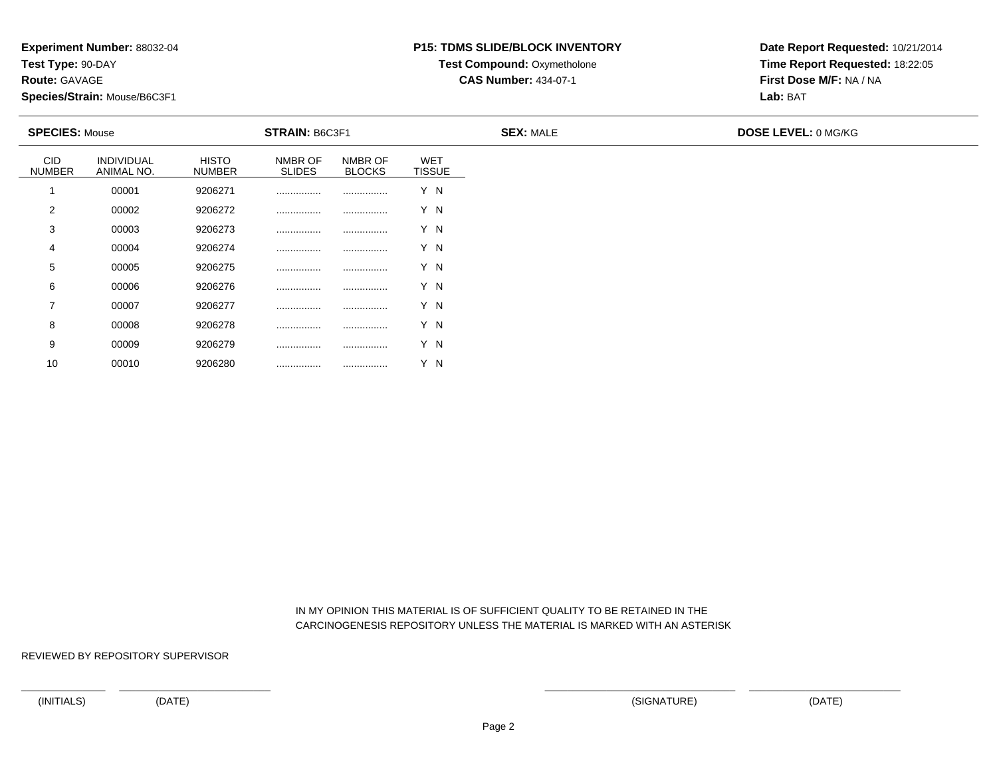**Test Type:** 90-DAY

**Route:** GAVAGE

10

**Species/Strain:** Mouse/B6C3F1

# **P15: TDMS SLIDE/BLOCK INVENTORY**

**Test Compound: Oxymetholone** 

**CAS Number:** 434-07-1

**Date Report Requested:** 10/21/2014**Time Report Requested:** 18:22:05**First Dose M/F:** NA / NA**Lab:** BAT

| <b>SPECIES: Mouse</b>       |                                 |                               | <b>STRAIN: B6C3F1</b>    |                          |                             | <b>SEX: MALE</b> | <b>DOSE LEVEL: 0 MG/KG</b> |
|-----------------------------|---------------------------------|-------------------------------|--------------------------|--------------------------|-----------------------------|------------------|----------------------------|
| <b>CID</b><br><b>NUMBER</b> | <b>INDIVIDUAL</b><br>ANIMAL NO. | <b>HISTO</b><br><b>NUMBER</b> | NMBR OF<br><b>SLIDES</b> | NMBR OF<br><b>BLOCKS</b> | <b>WET</b><br><b>TISSUE</b> |                  |                            |
|                             | 00001                           | 9206271                       |                          |                          | Y N                         |                  |                            |
| 2                           | 00002                           | 9206272                       |                          |                          | Y N                         |                  |                            |
| 3                           | 00003                           | 9206273                       |                          |                          | Y N                         |                  |                            |
| 4                           | 00004                           | 9206274                       | .                        |                          | Y N                         |                  |                            |
| 5                           | 00005                           | 9206275                       |                          |                          | Y N                         |                  |                            |
| 6                           | 00006                           | 9206276                       |                          |                          | Y N                         |                  |                            |
| 7                           | 00007                           | 9206277                       |                          |                          | Y N                         |                  |                            |
| 8                           | 00008                           | 9206278                       | .                        |                          | Y N                         |                  |                            |
| 9                           | 00009                           | 9206279                       |                          |                          | Y N                         |                  |                            |

 IN MY OPINION THIS MATERIAL IS OF SUFFICIENT QUALITY TO BE RETAINED IN THECARCINOGENESIS REPOSITORY UNLESS THE MATERIAL IS MARKED WITH AN ASTERISK

REVIEWED BY REPOSITORY SUPERVISOR

<sup>00010</sup> <sup>9206280</sup> ................ ................ Y N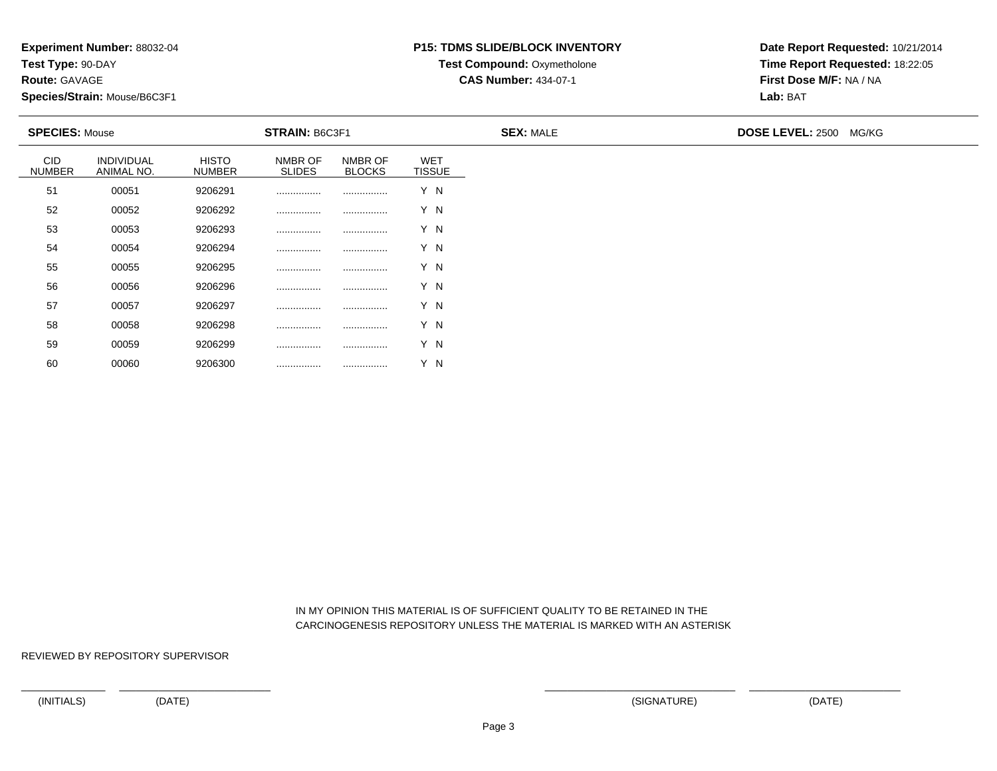**Test Type:** 90-DAY

**Route:** GAVAGE

60

**Species/Strain:** Mouse/B6C3F1

# **P15: TDMS SLIDE/BLOCK INVENTORY**

**Test Compound: Oxymetholone** 

**CAS Number:** 434-07-1

**Date Report Requested:** 10/21/2014**Time Report Requested:** 18:22:05**First Dose M/F:** NA / NA**Lab:** BAT

|                             | <b>STRAIN: B6C3F1</b><br><b>SPECIES: Mouse</b> |                               |                          | <b>SEX: MALE</b>         | <b>DOSE LEVEL: 2500 MG/KG</b> |  |  |  |
|-----------------------------|------------------------------------------------|-------------------------------|--------------------------|--------------------------|-------------------------------|--|--|--|
| <b>CID</b><br><b>NUMBER</b> | INDIVIDUAL<br>ANIMAL NO.                       | <b>HISTO</b><br><b>NUMBER</b> | NMBR OF<br><b>SLIDES</b> | NMBR OF<br><b>BLOCKS</b> | <b>WET</b><br><b>TISSUE</b>   |  |  |  |
| 51                          | 00051                                          | 9206291                       |                          |                          | Y N                           |  |  |  |
| 52                          | 00052                                          | 9206292                       |                          |                          | Y N                           |  |  |  |
| 53                          | 00053                                          | 9206293                       |                          |                          | Y N                           |  |  |  |
| 54                          | 00054                                          | 9206294                       |                          |                          | Y N                           |  |  |  |
| 55                          | 00055                                          | 9206295                       |                          |                          | Y N                           |  |  |  |
| 56                          | 00056                                          | 9206296                       |                          |                          | Y N                           |  |  |  |
| 57                          | 00057                                          | 9206297                       |                          |                          | Y N                           |  |  |  |
| 58                          | 00058                                          | 9206298                       |                          |                          | Y N                           |  |  |  |
| 59                          | 00059                                          | 9206299                       |                          |                          | Y N                           |  |  |  |

 IN MY OPINION THIS MATERIAL IS OF SUFFICIENT QUALITY TO BE RETAINED IN THECARCINOGENESIS REPOSITORY UNLESS THE MATERIAL IS MARKED WITH AN ASTERISK

REVIEWED BY REPOSITORY SUPERVISOR

<sup>00060</sup> <sup>9206300</sup> ................ ................ Y N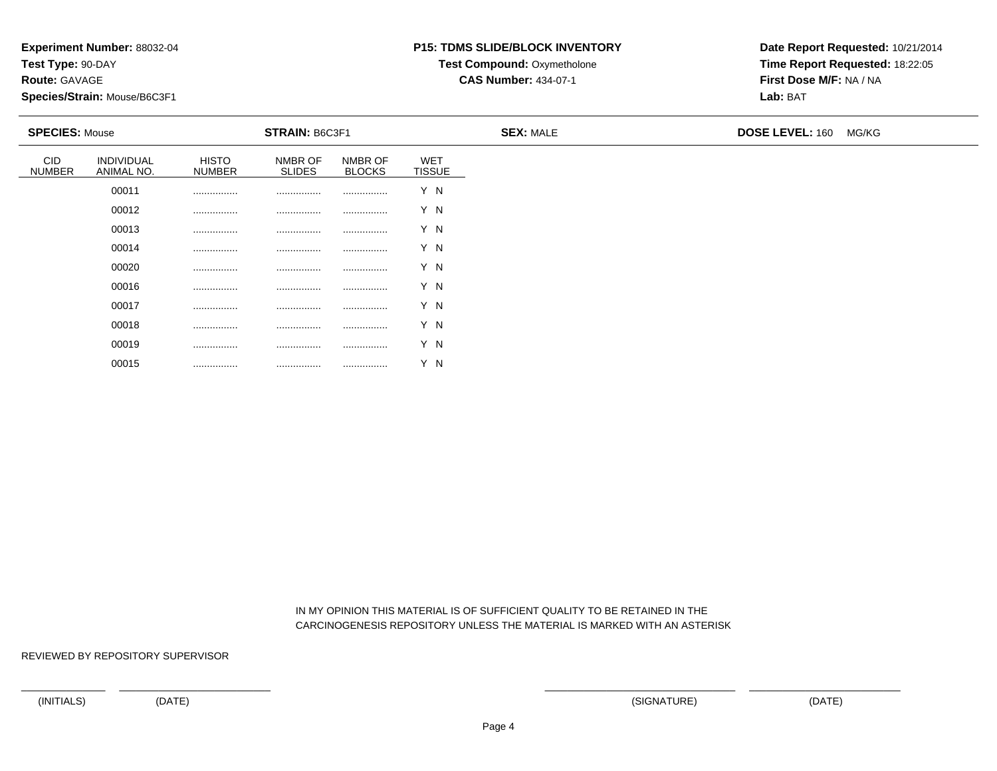**Test Type:** 90-DAY

**Route:** GAVAGE

**Species/Strain:** Mouse/B6C3F1

## **P15: TDMS SLIDE/BLOCK INVENTORY**

**Test Compound: Oxymetholone** 

**CAS Number:** 434-07-1

**Date Report Requested:** 10/21/2014**Time Report Requested:** 18:22:05**First Dose M/F:** NA / NA**Lab:** BAT

| <b>SPECIES: Mouse</b>       |                          |                               | <b>STRAIN: B6C3F1</b>    |                          |                             | <b>SEX: MALE</b> | <b>DOSE LEVEL: 160</b> | MG/KG |
|-----------------------------|--------------------------|-------------------------------|--------------------------|--------------------------|-----------------------------|------------------|------------------------|-------|
| <b>CID</b><br><b>NUMBER</b> | INDIVIDUAL<br>ANIMAL NO. | <b>HISTO</b><br><b>NUMBER</b> | NMBR OF<br><b>SLIDES</b> | NMBR OF<br><b>BLOCKS</b> | <b>WET</b><br><b>TISSUE</b> |                  |                        |       |
|                             | 00011                    |                               |                          |                          | Y N                         |                  |                        |       |
|                             | 00012                    |                               |                          |                          | Y N                         |                  |                        |       |
|                             | 00013                    |                               |                          |                          | Y N                         |                  |                        |       |
|                             | 00014                    |                               |                          |                          | Y N                         |                  |                        |       |
|                             | 00020                    |                               |                          |                          | Y N                         |                  |                        |       |
|                             | 00016                    |                               |                          |                          | Y N                         |                  |                        |       |
|                             | 00017                    |                               |                          |                          | Y N                         |                  |                        |       |
|                             | 00018                    |                               |                          | .                        | Y N                         |                  |                        |       |
|                             | 00019                    |                               | .                        |                          | Y N                         |                  |                        |       |

 IN MY OPINION THIS MATERIAL IS OF SUFFICIENT QUALITY TO BE RETAINED IN THECARCINOGENESIS REPOSITORY UNLESS THE MATERIAL IS MARKED WITH AN ASTERISK

REVIEWED BY REPOSITORY SUPERVISOR

00015

................ ................ ................ Y N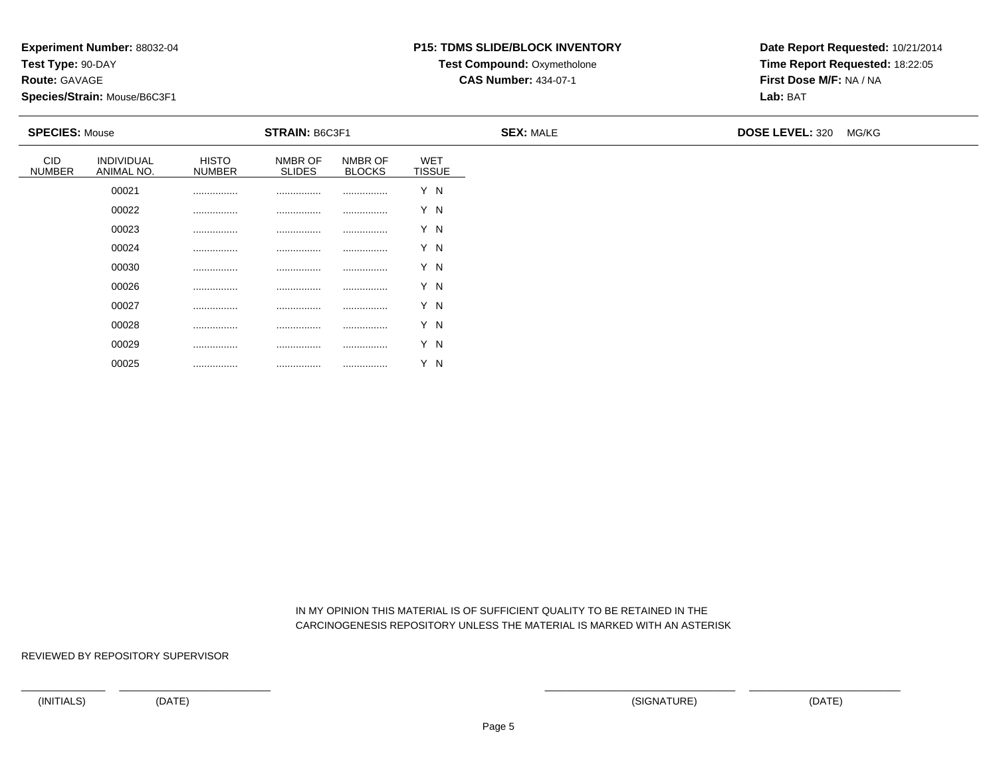**Test Type:** 90-DAY

**Route:** GAVAGE

**Species/Strain:** Mouse/B6C3F1

## **P15: TDMS SLIDE/BLOCK INVENTORY**

**Test Compound: Oxymetholone** 

**CAS Number:** 434-07-1

**Date Report Requested:** 10/21/2014**Time Report Requested:** 18:22:05**First Dose M/F:** NA / NA**Lab:** BAT

| <b>SPECIES: Mouse</b>       |                          | <b>STRAIN: B6C3F1</b>         |                          |                          | <b>SEX: MALE</b>     | <b>DOSE LEVEL: 320</b> | MG/KG |  |
|-----------------------------|--------------------------|-------------------------------|--------------------------|--------------------------|----------------------|------------------------|-------|--|
| <b>CID</b><br><b>NUMBER</b> | INDIVIDUAL<br>ANIMAL NO. | <b>HISTO</b><br><b>NUMBER</b> | NMBR OF<br><b>SLIDES</b> | NMBR OF<br><b>BLOCKS</b> | WET<br><b>TISSUE</b> |                        |       |  |
|                             | 00021                    |                               |                          |                          | Y N                  |                        |       |  |
|                             | 00022                    |                               |                          |                          | Y N                  |                        |       |  |
|                             | 00023                    |                               |                          |                          | Y N                  |                        |       |  |
|                             | 00024                    | .                             |                          |                          | Y N                  |                        |       |  |
|                             | 00030                    |                               | .                        |                          | Y N                  |                        |       |  |
|                             | 00026                    |                               |                          |                          | Y N                  |                        |       |  |
|                             | 00027                    | .                             |                          | .                        | Y N                  |                        |       |  |
|                             | 00028                    | .                             |                          | .                        | Y N                  |                        |       |  |
|                             | 00029                    |                               | .                        |                          | Y N                  |                        |       |  |

 IN MY OPINION THIS MATERIAL IS OF SUFFICIENT QUALITY TO BE RETAINED IN THECARCINOGENESIS REPOSITORY UNLESS THE MATERIAL IS MARKED WITH AN ASTERISK

REVIEWED BY REPOSITORY SUPERVISOR

00025

................ ................ ................ Y N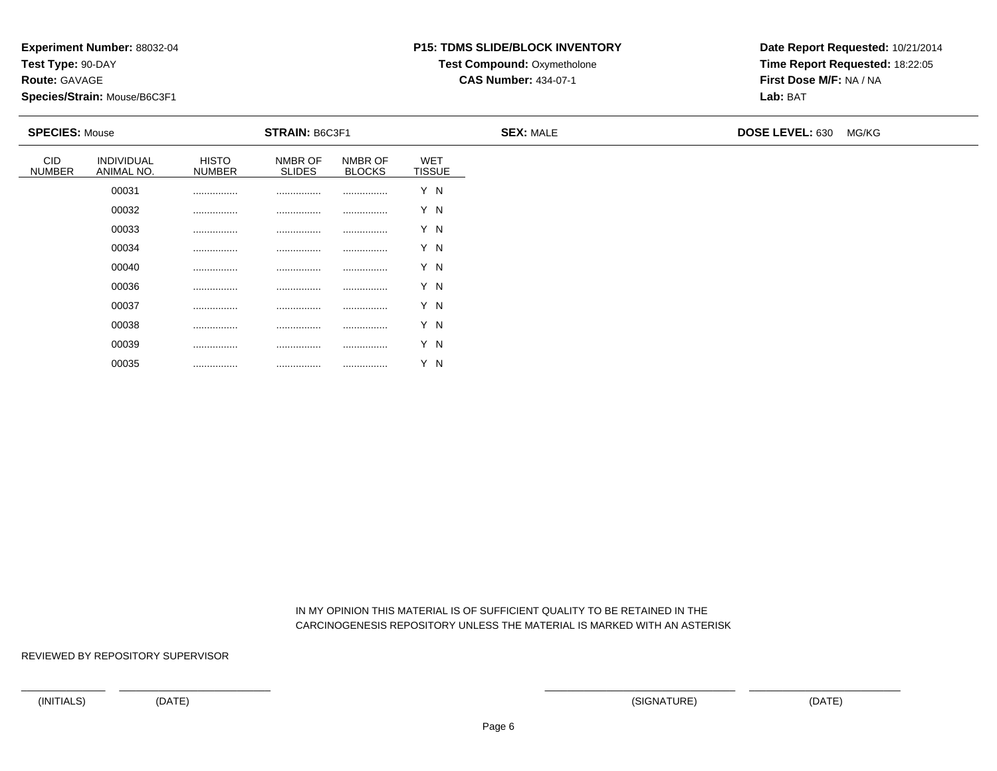**Test Type:** 90-DAY

**Route:** GAVAGE

**Species/Strain:** Mouse/B6C3F1

## **P15: TDMS SLIDE/BLOCK INVENTORY**

**Test Compound: Oxymetholone** 

**CAS Number:** 434-07-1

**Date Report Requested:** 10/21/2014**Time Report Requested:** 18:22:05**First Dose M/F:** NA / NA**Lab:** BAT

| <b>SPECIES: Mouse</b>       |                          |                               | <b>STRAIN: B6C3F1</b>    |                          |                             | <b>SEX: MALE</b> | DOSE LEVEL: 630 MG/KG |  |
|-----------------------------|--------------------------|-------------------------------|--------------------------|--------------------------|-----------------------------|------------------|-----------------------|--|
| <b>CID</b><br><b>NUMBER</b> | INDIVIDUAL<br>ANIMAL NO. | <b>HISTO</b><br><b>NUMBER</b> | NMBR OF<br><b>SLIDES</b> | NMBR OF<br><b>BLOCKS</b> | <b>WET</b><br><b>TISSUE</b> |                  |                       |  |
|                             | 00031                    |                               |                          |                          | Y N                         |                  |                       |  |
|                             | 00032                    |                               |                          |                          | Y N                         |                  |                       |  |
|                             | 00033                    |                               |                          |                          | Y N                         |                  |                       |  |
|                             | 00034                    |                               |                          |                          | Y N                         |                  |                       |  |
|                             | 00040                    |                               |                          |                          | Y N                         |                  |                       |  |
|                             | 00036                    |                               |                          |                          | Y N                         |                  |                       |  |
|                             | 00037                    |                               | .                        |                          | Y N                         |                  |                       |  |
|                             | 00038                    | .                             | .                        |                          | Y N                         |                  |                       |  |
|                             | 00039                    | .                             |                          |                          | Y N                         |                  |                       |  |

 IN MY OPINION THIS MATERIAL IS OF SUFFICIENT QUALITY TO BE RETAINED IN THECARCINOGENESIS REPOSITORY UNLESS THE MATERIAL IS MARKED WITH AN ASTERISK

REVIEWED BY REPOSITORY SUPERVISOR

00035

................ ................ ................ Y N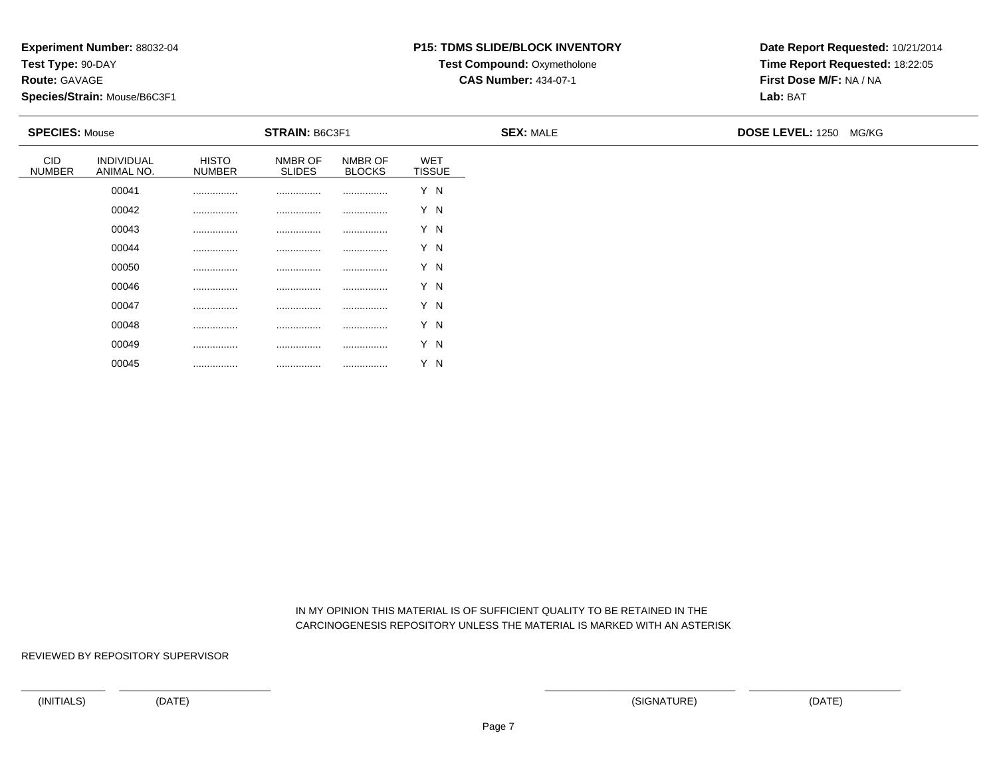**Test Type:** 90-DAY

**Route:** GAVAGE

**Species/Strain:** Mouse/B6C3F1

# **P15: TDMS SLIDE/BLOCK INVENTORY**

**Test Compound: Oxymetholone** 

**CAS Number:** 434-07-1

**Date Report Requested:** 10/21/2014**Time Report Requested:** 18:22:05**First Dose M/F:** NA / NA**Lab:** BAT

| <b>SPECIES: Mouse</b>       |                          |                        | <b>STRAIN: B6C3F1</b>    |                          |                             | <b>SEX: MALE</b> | <b>DOSE LEVEL: 1250 MG/KG</b> |  |
|-----------------------------|--------------------------|------------------------|--------------------------|--------------------------|-----------------------------|------------------|-------------------------------|--|
| <b>CID</b><br><b>NUMBER</b> | INDIVIDUAL<br>ANIMAL NO. | HISTO<br><b>NUMBER</b> | NMBR OF<br><b>SLIDES</b> | NMBR OF<br><b>BLOCKS</b> | <b>WET</b><br><b>TISSUE</b> |                  |                               |  |
|                             | 00041                    |                        |                          |                          | Y N                         |                  |                               |  |
|                             | 00042                    |                        |                          |                          | Y N                         |                  |                               |  |
|                             | 00043                    |                        |                          |                          | Y N                         |                  |                               |  |
|                             | 00044                    |                        |                          |                          | Y N                         |                  |                               |  |
|                             | 00050                    |                        |                          |                          | Y N                         |                  |                               |  |
|                             | 00046                    |                        |                          |                          | Y N                         |                  |                               |  |
|                             | 00047                    |                        |                          |                          | Y N                         |                  |                               |  |
|                             | 00048                    |                        |                          |                          | Y N                         |                  |                               |  |
|                             | 00049                    |                        | .                        |                          | Y N                         |                  |                               |  |

 IN MY OPINION THIS MATERIAL IS OF SUFFICIENT QUALITY TO BE RETAINED IN THECARCINOGENESIS REPOSITORY UNLESS THE MATERIAL IS MARKED WITH AN ASTERISK

REVIEWED BY REPOSITORY SUPERVISOR

00045

................ ................ ................ Y N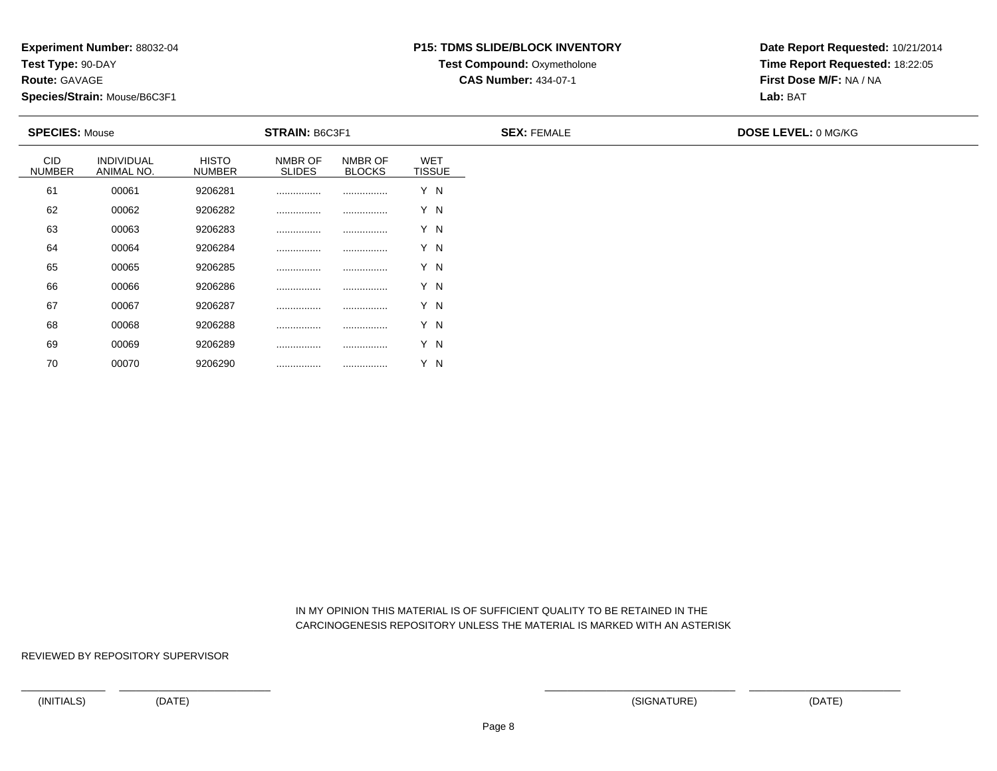**Test Type:** 90-DAY

**Route:** GAVAGE

70

**Species/Strain:** Mouse/B6C3F1

#### **P15: TDMS SLIDE/BLOCK INVENTORY**

**Test Compound: Oxymetholone** 

**CAS Number:** 434-07-1

**Date Report Requested:** 10/21/2014**Time Report Requested:** 18:22:05**First Dose M/F:** NA / NA**Lab:** BAT

|                             | <b>SPECIES: Mouse</b><br><b>STRAIN: B6C3F1</b> |                               |                          |                          | <b>SEX: FEMALE</b>          | <b>DOSE LEVEL: 0 MG/KG</b> |  |
|-----------------------------|------------------------------------------------|-------------------------------|--------------------------|--------------------------|-----------------------------|----------------------------|--|
| <b>CID</b><br><b>NUMBER</b> | INDIVIDUAL<br>ANIMAL NO.                       | <b>HISTO</b><br><b>NUMBER</b> | NMBR OF<br><b>SLIDES</b> | NMBR OF<br><b>BLOCKS</b> | <b>WET</b><br><b>TISSUE</b> |                            |  |
| 61                          | 00061                                          | 9206281                       |                          |                          | Y N                         |                            |  |
| 62                          | 00062                                          | 9206282                       |                          |                          | Y N                         |                            |  |
| 63                          | 00063                                          | 9206283                       |                          |                          | Y N                         |                            |  |
| 64                          | 00064                                          | 9206284                       |                          |                          | Y N                         |                            |  |
| 65                          | 00065                                          | 9206285                       |                          |                          | Y N                         |                            |  |
| 66                          | 00066                                          | 9206286                       |                          |                          | Y N                         |                            |  |
| 67                          | 00067                                          | 9206287                       |                          |                          | Y N                         |                            |  |
| 68                          | 00068                                          | 9206288                       |                          |                          | Y N                         |                            |  |
| 69                          | 00069                                          | 9206289                       |                          |                          | Y N                         |                            |  |

 IN MY OPINION THIS MATERIAL IS OF SUFFICIENT QUALITY TO BE RETAINED IN THECARCINOGENESIS REPOSITORY UNLESS THE MATERIAL IS MARKED WITH AN ASTERISK

REVIEWED BY REPOSITORY SUPERVISOR

<sup>00070</sup> <sup>9206290</sup> ................ ................ Y N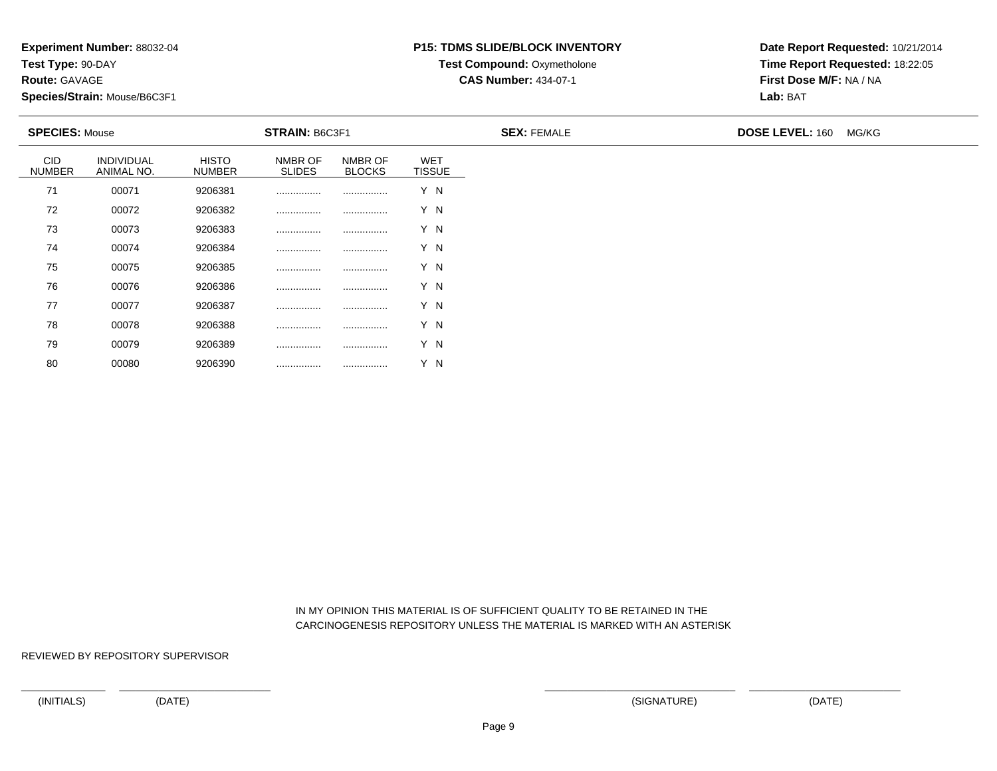**Test Type:** 90-DAY

**Route:** GAVAGE

80

**Species/Strain:** Mouse/B6C3F1

### **P15: TDMS SLIDE/BLOCK INVENTORY**

**Test Compound:** Oxymetholone

**CAS Number:** 434-07-1

**Date Report Requested:** 10/21/2014**Time Report Requested:** 18:22:05**First Dose M/F:** NA / NA**Lab:** BAT

|                             | <b>SPECIES: Mouse</b><br><b>STRAIN: B6C3F1</b> |                        |                          | <b>SEX: FEMALE</b>       | <b>DOSE LEVEL: 160</b>      | MG/KG |  |  |
|-----------------------------|------------------------------------------------|------------------------|--------------------------|--------------------------|-----------------------------|-------|--|--|
| <b>CID</b><br><b>NUMBER</b> | <b>INDIVIDUAL</b><br>ANIMAL NO.                | <b>HISTO</b><br>NUMBER | NMBR OF<br><b>SLIDES</b> | NMBR OF<br><b>BLOCKS</b> | <b>WET</b><br><b>TISSUE</b> |       |  |  |
| 71                          | 00071                                          | 9206381                |                          |                          | Y N                         |       |  |  |
| 72                          | 00072                                          | 9206382                |                          |                          | Y N                         |       |  |  |
| 73                          | 00073                                          | 9206383                |                          |                          | Y N                         |       |  |  |
| 74                          | 00074                                          | 9206384                |                          |                          | Y N                         |       |  |  |
| 75                          | 00075                                          | 9206385                |                          |                          | Y N                         |       |  |  |
| 76                          | 00076                                          | 9206386                |                          |                          | Y N                         |       |  |  |
| 77                          | 00077                                          | 9206387                |                          |                          | Y N                         |       |  |  |
| 78                          | 00078                                          | 9206388                |                          |                          | Y N                         |       |  |  |
| 79                          | 00079                                          | 9206389                |                          |                          | Y N                         |       |  |  |

 IN MY OPINION THIS MATERIAL IS OF SUFFICIENT QUALITY TO BE RETAINED IN THECARCINOGENESIS REPOSITORY UNLESS THE MATERIAL IS MARKED WITH AN ASTERISK

REVIEWED BY REPOSITORY SUPERVISOR

<sup>00080</sup> <sup>9206390</sup> ................ ................ Y N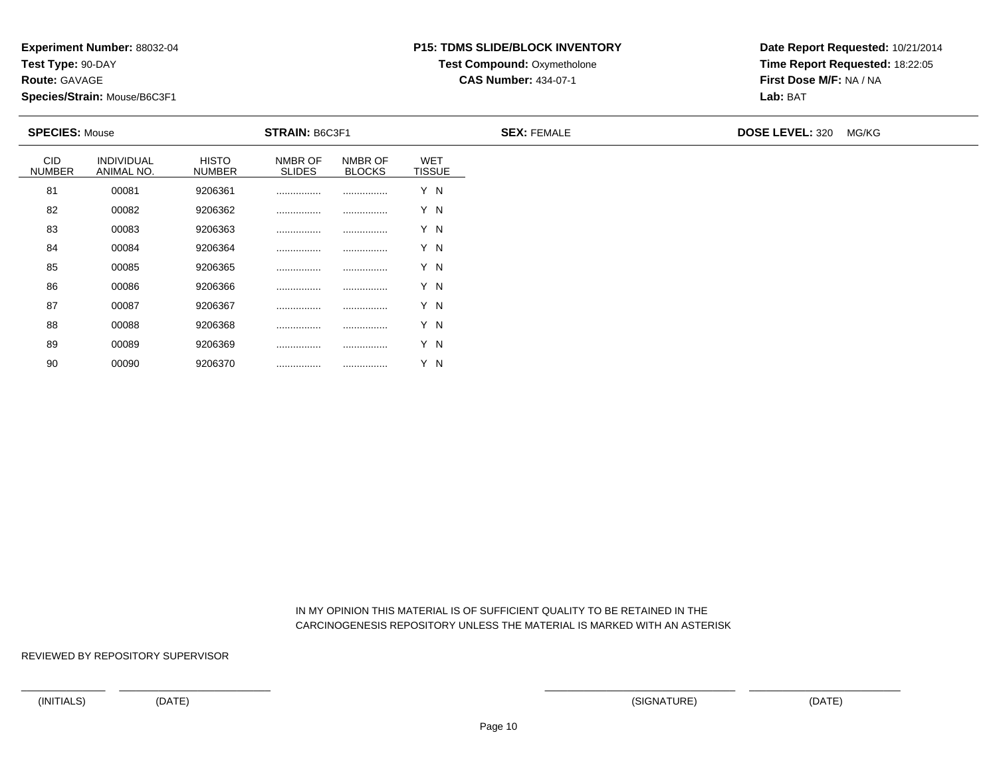**Test Type:** 90-DAY

**Route:** GAVAGE

90

**Species/Strain:** Mouse/B6C3F1

#### **P15: TDMS SLIDE/BLOCK INVENTORY**

**Test Compound:** Oxymetholone

**CAS Number:** 434-07-1

**Date Report Requested:** 10/21/2014**Time Report Requested:** 18:22:05**First Dose M/F:** NA / NA**Lab:** BAT

|                             | <b>SPECIES: Mouse</b><br><b>STRAIN: B6C3F1</b> |                               |                          | <b>SEX: FEMALE</b>       | <b>DOSE LEVEL: 320</b>      | MG/KG |  |  |
|-----------------------------|------------------------------------------------|-------------------------------|--------------------------|--------------------------|-----------------------------|-------|--|--|
| <b>CID</b><br><b>NUMBER</b> | INDIVIDUAL<br>ANIMAL NO.                       | <b>HISTO</b><br><b>NUMBER</b> | NMBR OF<br><b>SLIDES</b> | NMBR OF<br><b>BLOCKS</b> | <b>WET</b><br><b>TISSUE</b> |       |  |  |
| 81                          | 00081                                          | 9206361                       |                          |                          | Y N                         |       |  |  |
| 82                          | 00082                                          | 9206362                       |                          |                          | Y N                         |       |  |  |
| 83                          | 00083                                          | 9206363                       |                          |                          | Y N                         |       |  |  |
| 84                          | 00084                                          | 9206364                       |                          |                          | Y N                         |       |  |  |
| 85                          | 00085                                          | 9206365                       |                          |                          | Y N                         |       |  |  |
| 86                          | 00086                                          | 9206366                       |                          |                          | Y N                         |       |  |  |
| 87                          | 00087                                          | 9206367                       |                          |                          | Y N                         |       |  |  |
| 88                          | 00088                                          | 9206368                       |                          |                          | Y N                         |       |  |  |
| 89                          | 00089                                          | 9206369                       |                          |                          | Y N                         |       |  |  |

 IN MY OPINION THIS MATERIAL IS OF SUFFICIENT QUALITY TO BE RETAINED IN THECARCINOGENESIS REPOSITORY UNLESS THE MATERIAL IS MARKED WITH AN ASTERISK

REVIEWED BY REPOSITORY SUPERVISOR

<sup>00090</sup> <sup>9206370</sup> ................ ................ Y N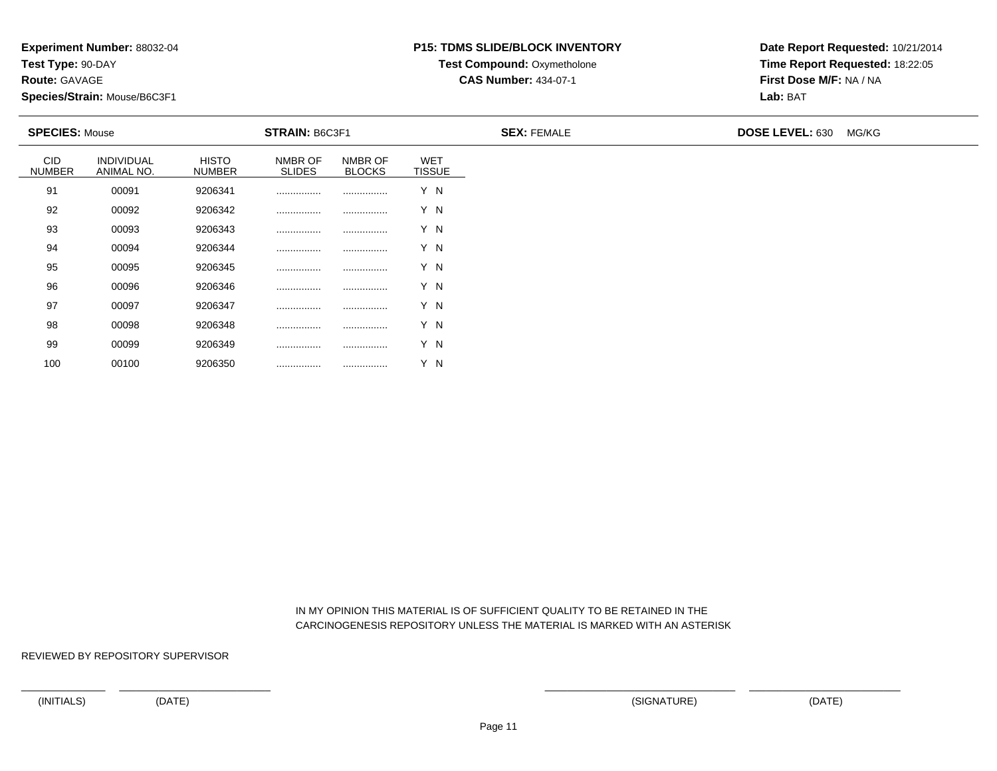**Test Type:** 90-DAY

**Route:** GAVAGE

100

**Species/Strain:** Mouse/B6C3F1

#### **P15: TDMS SLIDE/BLOCK INVENTORY**

**Test Compound:** Oxymetholone

**CAS Number:** 434-07-1

**Date Report Requested:** 10/21/2014**Time Report Requested:** 18:22:05**First Dose M/F:** NA / NA**Lab:** BAT

|                             | <b>SPECIES: Mouse</b><br><b>STRAIN: B6C3F1</b> |                               |                          | <b>SEX: FEMALE</b>       | <b>DOSE LEVEL: 630</b>      | MG/KG |  |  |
|-----------------------------|------------------------------------------------|-------------------------------|--------------------------|--------------------------|-----------------------------|-------|--|--|
| <b>CID</b><br><b>NUMBER</b> | INDIVIDUAL<br>ANIMAL NO.                       | <b>HISTO</b><br><b>NUMBER</b> | NMBR OF<br><b>SLIDES</b> | NMBR OF<br><b>BLOCKS</b> | <b>WET</b><br><b>TISSUE</b> |       |  |  |
| 91                          | 00091                                          | 9206341                       |                          |                          | Y N                         |       |  |  |
| 92                          | 00092                                          | 9206342                       |                          |                          | Y N                         |       |  |  |
| 93                          | 00093                                          | 9206343                       |                          |                          | Y N                         |       |  |  |
| 94                          | 00094                                          | 9206344                       |                          |                          | Y N                         |       |  |  |
| 95                          | 00095                                          | 9206345                       |                          |                          | Y N                         |       |  |  |
| 96                          | 00096                                          | 9206346                       |                          |                          | Y N                         |       |  |  |
| 97                          | 00097                                          | 9206347                       |                          |                          | Y N                         |       |  |  |
| 98                          | 00098                                          | 9206348                       |                          |                          | Y N                         |       |  |  |
| 99                          | 00099                                          | 9206349                       |                          |                          | Y N                         |       |  |  |

 IN MY OPINION THIS MATERIAL IS OF SUFFICIENT QUALITY TO BE RETAINED IN THECARCINOGENESIS REPOSITORY UNLESS THE MATERIAL IS MARKED WITH AN ASTERISK

REVIEWED BY REPOSITORY SUPERVISOR

<sup>00100</sup> <sup>9206350</sup> ................ ................ Y N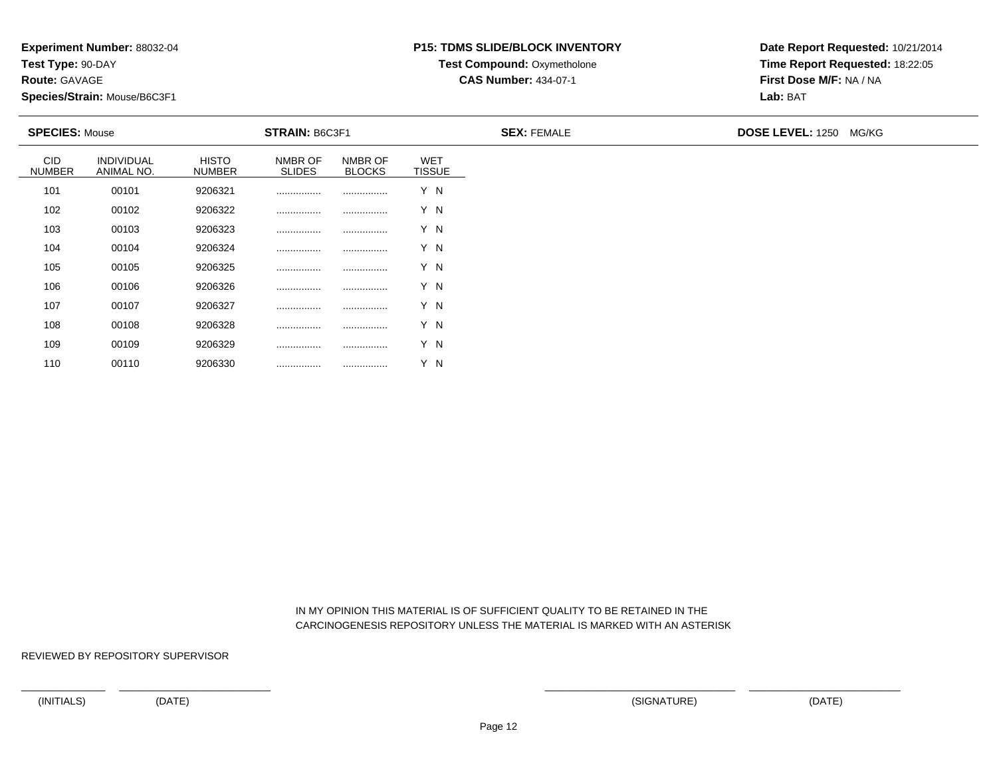**Test Type:** 90-DAY

**Route:** GAVAGE

110

**Species/Strain:** Mouse/B6C3F1

## **P15: TDMS SLIDE/BLOCK INVENTORY**

**Test Compound:** Oxymetholone

**CAS Number:** 434-07-1

**Date Report Requested:** 10/21/2014**Time Report Requested:** 18:22:05**First Dose M/F:** NA / NA**Lab:** BAT

| <b>SPECIES: Mouse</b>       |                                 |                               | <b>STRAIN: B6C3F1</b>    |                          |                             | <b>SEX: FEMALE</b> | <b>DOSE LEVEL: 1250 MG/KG</b> |
|-----------------------------|---------------------------------|-------------------------------|--------------------------|--------------------------|-----------------------------|--------------------|-------------------------------|
| <b>CID</b><br><b>NUMBER</b> | <b>INDIVIDUAL</b><br>ANIMAL NO. | <b>HISTO</b><br><b>NUMBER</b> | NMBR OF<br><b>SLIDES</b> | NMBR OF<br><b>BLOCKS</b> | <b>WET</b><br><b>TISSUE</b> |                    |                               |
| 101                         | 00101                           | 9206321                       |                          |                          | Y N                         |                    |                               |
| 102                         | 00102                           | 9206322                       |                          |                          | Y N                         |                    |                               |
| 103                         | 00103                           | 9206323                       |                          |                          | Y N                         |                    |                               |
| 104                         | 00104                           | 9206324                       |                          |                          | Y N                         |                    |                               |
| 105                         | 00105                           | 9206325                       |                          |                          | Y N                         |                    |                               |
| 106                         | 00106                           | 9206326                       |                          |                          | Y N                         |                    |                               |
| 107                         | 00107                           | 9206327                       |                          |                          | Y N                         |                    |                               |
| 108                         | 00108                           | 9206328                       |                          |                          | Y N                         |                    |                               |
| 109                         | 00109                           | 9206329                       | .                        |                          | Y N                         |                    |                               |

 IN MY OPINION THIS MATERIAL IS OF SUFFICIENT QUALITY TO BE RETAINED IN THECARCINOGENESIS REPOSITORY UNLESS THE MATERIAL IS MARKED WITH AN ASTERISK

REVIEWED BY REPOSITORY SUPERVISOR

<sup>00110</sup> <sup>9206330</sup> ................ ................ Y N